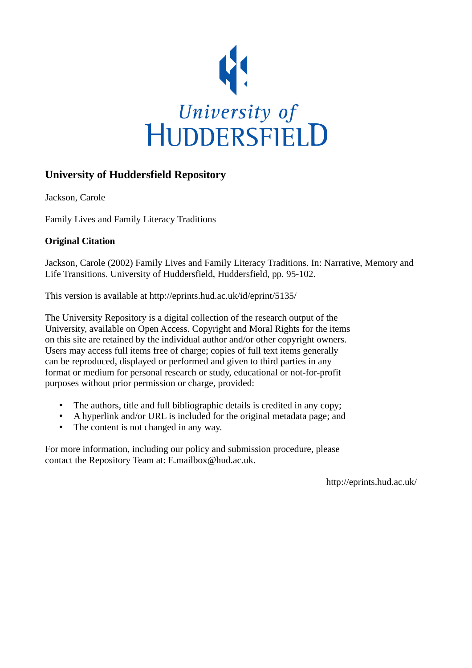

## **University of Huddersfield Repository**

Jackson, Carole

Family Lives and Family Literacy Traditions

### **Original Citation**

Jackson, Carole (2002) Family Lives and Family Literacy Traditions. In: Narrative, Memory and Life Transitions. University of Huddersfield, Huddersfield, pp. 95-102.

This version is available at http://eprints.hud.ac.uk/id/eprint/5135/

The University Repository is a digital collection of the research output of the University, available on Open Access. Copyright and Moral Rights for the items on this site are retained by the individual author and/or other copyright owners. Users may access full items free of charge; copies of full text items generally can be reproduced, displayed or performed and given to third parties in any format or medium for personal research or study, educational or not-for-profit purposes without prior permission or charge, provided:

- The authors, title and full bibliographic details is credited in any copy;
- A hyperlink and/or URL is included for the original metadata page; and
- The content is not changed in any way.

For more information, including our policy and submission procedure, please contact the Repository Team at: E.mailbox@hud.ac.uk.

http://eprints.hud.ac.uk/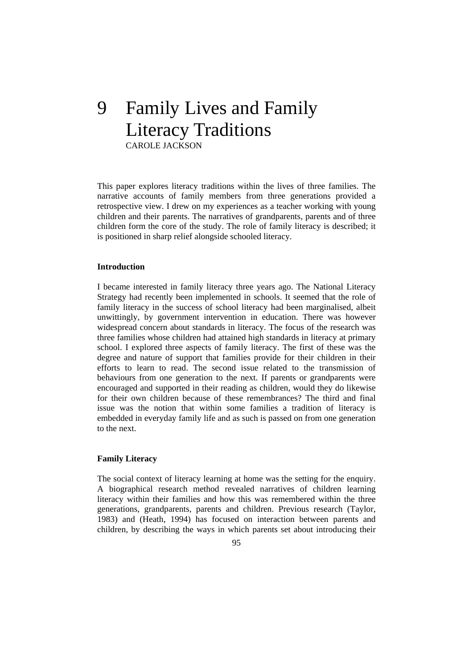# 9 Family Lives and Family Literacy Traditions CAROLE JACKSON

This paper explores literacy traditions within the lives of three families. The narrative accounts of family members from three generations provided a retrospective view. I drew on my experiences as a teacher working with young children and their parents. The narratives of grandparents, parents and of three children form the core of the study. The role of family literacy is described; it is positioned in sharp relief alongside schooled literacy.

#### **Introduction**

I became interested in family literacy three years ago. The National Literacy Strategy had recently been implemented in schools. It seemed that the role of family literacy in the success of school literacy had been marginalised, albeit unwittingly, by government intervention in education. There was however widespread concern about standards in literacy. The focus of the research was three families whose children had attained high standards in literacy at primary school. I explored three aspects of family literacy. The first of these was the degree and nature of support that families provide for their children in their efforts to learn to read. The second issue related to the transmission of behaviours from one generation to the next. If parents or grandparents were encouraged and supported in their reading as children, would they do likewise for their own children because of these remembrances? The third and final issue was the notion that within some families a tradition of literacy is embedded in everyday family life and as such is passed on from one generation to the next.

#### **Family Literacy**

The social context of literacy learning at home was the setting for the enquiry. A biographical research method revealed narratives of children learning literacy within their families and how this was remembered within the three generations, grandparents, parents and children. Previous research (Taylor, 1983) and (Heath, 1994) has focused on interaction between parents and children, by describing the ways in which parents set about introducing their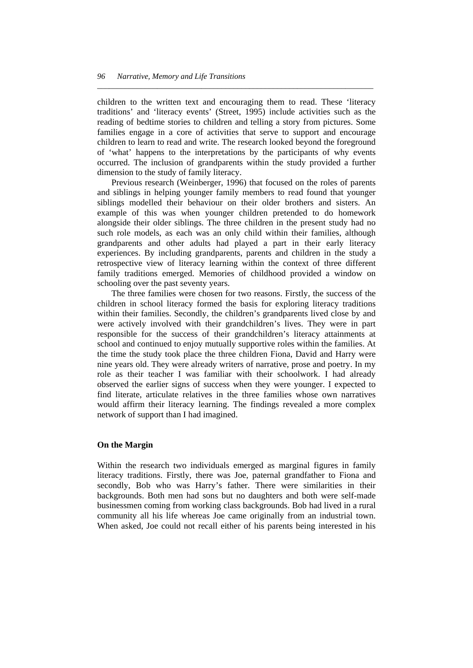children to the written text and encouraging them to read. These 'literacy traditions' and 'literacy events' (Street, 1995) include activities such as the reading of bedtime stories to children and telling a story from pictures. Some families engage in a core of activities that serve to support and encourage children to learn to read and write. The research looked beyond the foreground of 'what' happens to the interpretations by the participants of why events occurred. The inclusion of grandparents within the study provided a further dimension to the study of family literacy.

*\_\_\_\_\_\_\_\_\_\_\_\_\_\_\_\_\_\_\_\_\_\_\_\_\_\_\_\_\_\_\_\_\_\_\_\_\_\_\_\_\_\_\_\_\_\_\_\_\_\_\_\_\_\_\_\_\_\_\_\_\_\_\_\_\_\_\_\_\_* 

 Previous research (Weinberger, 1996) that focused on the roles of parents and siblings in helping younger family members to read found that younger siblings modelled their behaviour on their older brothers and sisters. An example of this was when younger children pretended to do homework alongside their older siblings. The three children in the present study had no such role models, as each was an only child within their families, although grandparents and other adults had played a part in their early literacy experiences. By including grandparents, parents and children in the study a retrospective view of literacy learning within the context of three different family traditions emerged. Memories of childhood provided a window on schooling over the past seventy years.

 The three families were chosen for two reasons. Firstly, the success of the children in school literacy formed the basis for exploring literacy traditions within their families. Secondly, the children's grandparents lived close by and were actively involved with their grandchildren's lives. They were in part responsible for the success of their grandchildren's literacy attainments at school and continued to enjoy mutually supportive roles within the families. At the time the study took place the three children Fiona, David and Harry were nine years old. They were already writers of narrative, prose and poetry. In my role as their teacher I was familiar with their schoolwork. I had already observed the earlier signs of success when they were younger. I expected to find literate, articulate relatives in the three families whose own narratives would affirm their literacy learning. The findings revealed a more complex network of support than I had imagined.

#### **On the Margin**

Within the research two individuals emerged as marginal figures in family literacy traditions. Firstly, there was Joe, paternal grandfather to Fiona and secondly, Bob who was Harry's father. There were similarities in their backgrounds. Both men had sons but no daughters and both were self-made businessmen coming from working class backgrounds. Bob had lived in a rural community all his life whereas Joe came originally from an industrial town. When asked, Joe could not recall either of his parents being interested in his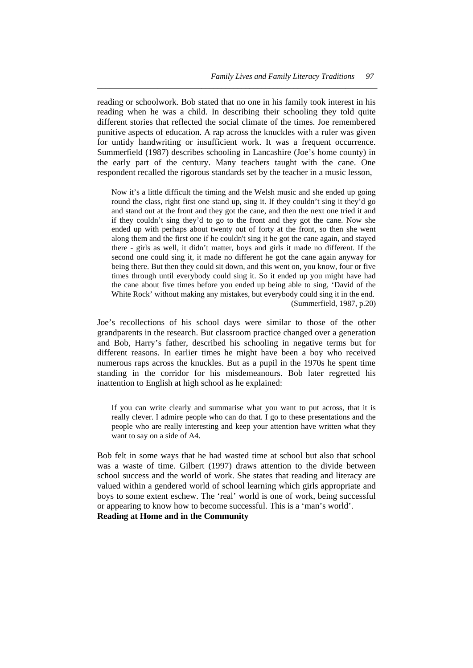reading or schoolwork. Bob stated that no one in his family took interest in his reading when he was a child. In describing their schooling they told quite different stories that reflected the social climate of the times. Joe remembered punitive aspects of education. A rap across the knuckles with a ruler was given for untidy handwriting or insufficient work. It was a frequent occurrence. Summerfield (1987) describes schooling in Lancashire (Joe's home county) in the early part of the century. Many teachers taught with the cane. One respondent recalled the rigorous standards set by the teacher in a music lesson,

*\_\_\_\_\_\_\_\_\_\_\_\_\_\_\_\_\_\_\_\_\_\_\_\_\_\_\_\_\_\_\_\_\_\_\_\_\_\_\_\_\_\_\_\_\_\_\_\_\_\_\_\_\_\_\_\_\_\_\_\_\_\_\_\_\_\_\_\_\_\_* 

Now it's a little difficult the timing and the Welsh music and she ended up going round the class, right first one stand up, sing it. If they couldn't sing it they'd go and stand out at the front and they got the cane, and then the next one tried it and if they couldn't sing they'd to go to the front and they got the cane. Now she ended up with perhaps about twenty out of forty at the front, so then she went along them and the first one if he couldn't sing it he got the cane again, and stayed there - girls as well, it didn't matter, boys and girls it made no different. If the second one could sing it, it made no different he got the cane again anyway for being there. But then they could sit down, and this went on, you know, four or five times through until everybody could sing it. So it ended up you might have had the cane about five times before you ended up being able to sing, 'David of the White Rock' without making any mistakes, but everybody could sing it in the end. (Summerfield, 1987, p.20)

Joe's recollections of his school days were similar to those of the other grandparents in the research. But classroom practice changed over a generation and Bob, Harry's father, described his schooling in negative terms but for different reasons. In earlier times he might have been a boy who received numerous raps across the knuckles. But as a pupil in the 1970s he spent time standing in the corridor for his misdemeanours. Bob later regretted his inattention to English at high school as he explained:

If you can write clearly and summarise what you want to put across, that it is really clever. I admire people who can do that. I go to these presentations and the people who are really interesting and keep your attention have written what they want to say on a side of A4.

Bob felt in some ways that he had wasted time at school but also that school was a waste of time. Gilbert (1997) draws attention to the divide between school success and the world of work. She states that reading and literacy are valued within a gendered world of school learning which girls appropriate and boys to some extent eschew. The 'real' world is one of work, being successful or appearing to know how to become successful. This is a 'man's world'. **Reading at Home and in the Community**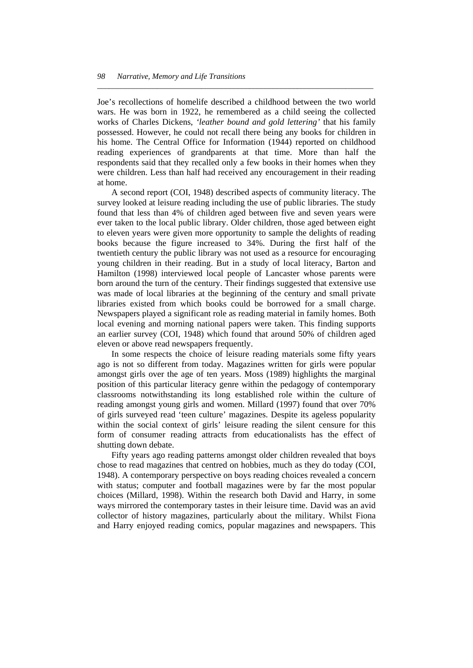Joe's recollections of homelife described a childhood between the two world wars. He was born in 1922, he remembered as a child seeing the collected works of Charles Dickens, *'leather bound and gold lettering'* that his family possessed. However, he could not recall there being any books for children in his home. The Central Office for Information (1944) reported on childhood reading experiences of grandparents at that time. More than half the respondents said that they recalled only a few books in their homes when they were children. Less than half had received any encouragement in their reading at home.

*\_\_\_\_\_\_\_\_\_\_\_\_\_\_\_\_\_\_\_\_\_\_\_\_\_\_\_\_\_\_\_\_\_\_\_\_\_\_\_\_\_\_\_\_\_\_\_\_\_\_\_\_\_\_\_\_\_\_\_\_\_\_\_\_\_\_\_\_\_* 

 A second report (COI, 1948) described aspects of community literacy. The survey looked at leisure reading including the use of public libraries. The study found that less than 4% of children aged between five and seven years were ever taken to the local public library. Older children, those aged between eight to eleven years were given more opportunity to sample the delights of reading books because the figure increased to 34%. During the first half of the twentieth century the public library was not used as a resource for encouraging young children in their reading. But in a study of local literacy, Barton and Hamilton (1998) interviewed local people of Lancaster whose parents were born around the turn of the century. Their findings suggested that extensive use was made of local libraries at the beginning of the century and small private libraries existed from which books could be borrowed for a small charge. Newspapers played a significant role as reading material in family homes. Both local evening and morning national papers were taken. This finding supports an earlier survey (COI, 1948) which found that around 50% of children aged eleven or above read newspapers frequently.

 In some respects the choice of leisure reading materials some fifty years ago is not so different from today. Magazines written for girls were popular amongst girls over the age of ten years. Moss (1989) highlights the marginal position of this particular literacy genre within the pedagogy of contemporary classrooms notwithstanding its long established role within the culture of reading amongst young girls and women. Millard (1997) found that over 70% of girls surveyed read 'teen culture' magazines. Despite its ageless popularity within the social context of girls' leisure reading the silent censure for this form of consumer reading attracts from educationalists has the effect of shutting down debate.

 Fifty years ago reading patterns amongst older children revealed that boys chose to read magazines that centred on hobbies, much as they do today (COI, 1948). A contemporary perspective on boys reading choices revealed a concern with status; computer and football magazines were by far the most popular choices (Millard, 1998). Within the research both David and Harry, in some ways mirrored the contemporary tastes in their leisure time. David was an avid collector of history magazines, particularly about the military. Whilst Fiona and Harry enjoyed reading comics, popular magazines and newspapers. This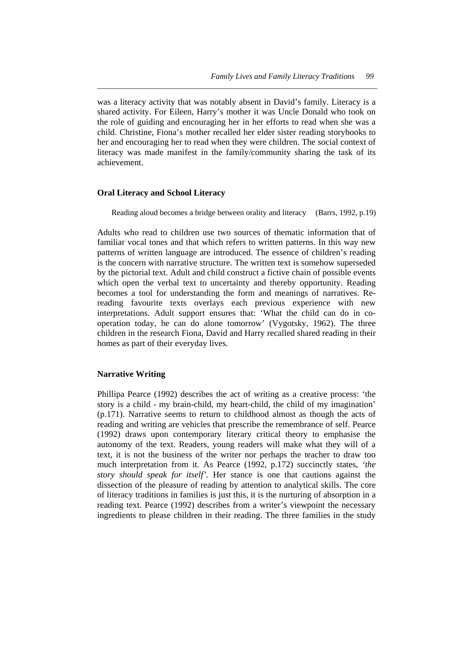was a literacy activity that was notably absent in David's family. Literacy is a shared activity. For Eileen, Harry's mother it was Uncle Donald who took on the role of guiding and encouraging her in her efforts to read when she was a child. Christine, Fiona's mother recalled her elder sister reading storybooks to her and encouraging her to read when they were children. The social context of literacy was made manifest in the family/community sharing the task of its achievement.

*\_\_\_\_\_\_\_\_\_\_\_\_\_\_\_\_\_\_\_\_\_\_\_\_\_\_\_\_\_\_\_\_\_\_\_\_\_\_\_\_\_\_\_\_\_\_\_\_\_\_\_\_\_\_\_\_\_\_\_\_\_\_\_\_\_\_\_\_\_\_* 

#### **Oral Literacy and School Literacy**

Reading aloud becomes a bridge between orality and literacy (Barrs, 1992, p.19)

Adults who read to children use two sources of thematic information that of familiar vocal tones and that which refers to written patterns. In this way new patterns of written language are introduced. The essence of children's reading is the concern with narrative structure. The written text is somehow superseded by the pictorial text. Adult and child construct a fictive chain of possible events which open the verbal text to uncertainty and thereby opportunity. Reading becomes a tool for understanding the form and meanings of narratives. Rereading favourite texts overlays each previous experience with new interpretations. Adult support ensures that: 'What the child can do in cooperation today, he can do alone tomorrow' (Vygotsky, 1962). The three children in the research Fiona, David and Harry recalled shared reading in their homes as part of their everyday lives.

#### **Narrative Writing**

Phillipa Pearce (1992) describes the act of writing as a creative process: 'the story is a child - my brain-child, my heart-child, the child of my imagination' (p.171). Narrative seems to return to childhood almost as though the acts of reading and writing are vehicles that prescribe the remembrance of self. Pearce (1992) draws upon contemporary literary critical theory to emphasise the autonomy of the text. Readers, young readers will make what they will of a text, it is not the business of the writer nor perhaps the teacher to draw too much interpretation from it. As Pearce (1992, p.172) succinctly states, *'the story should speak for itself'.* Her stance is one that cautions against the dissection of the pleasure of reading by attention to analytical skills. The core of literacy traditions in families is just this, it is the nurturing of absorption in a reading text. Pearce (1992) describes from a writer's viewpoint the necessary ingredients to please children in their reading. The three families in the study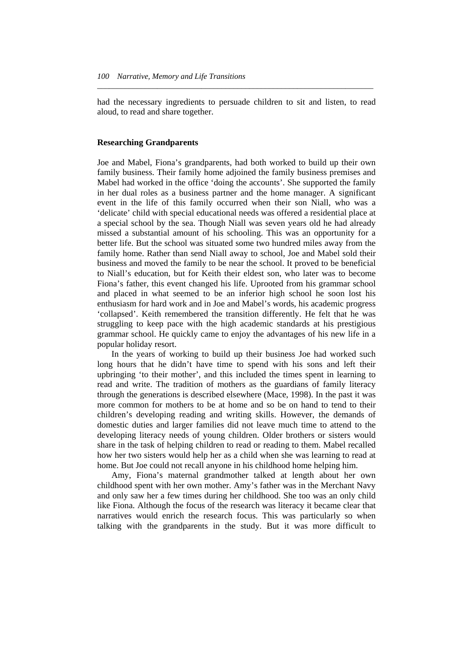had the necessary ingredients to persuade children to sit and listen, to read aloud, to read and share together.

*\_\_\_\_\_\_\_\_\_\_\_\_\_\_\_\_\_\_\_\_\_\_\_\_\_\_\_\_\_\_\_\_\_\_\_\_\_\_\_\_\_\_\_\_\_\_\_\_\_\_\_\_\_\_\_\_\_\_\_\_\_\_\_\_\_\_\_\_\_* 

#### **Researching Grandparents**

Joe and Mabel, Fiona's grandparents, had both worked to build up their own family business. Their family home adjoined the family business premises and Mabel had worked in the office 'doing the accounts'. She supported the family in her dual roles as a business partner and the home manager. A significant event in the life of this family occurred when their son Niall, who was a 'delicate' child with special educational needs was offered a residential place at a special school by the sea. Though Niall was seven years old he had already missed a substantial amount of his schooling. This was an opportunity for a better life. But the school was situated some two hundred miles away from the family home. Rather than send Niall away to school, Joe and Mabel sold their business and moved the family to be near the school. It proved to be beneficial to Niall's education, but for Keith their eldest son, who later was to become Fiona's father, this event changed his life. Uprooted from his grammar school and placed in what seemed to be an inferior high school he soon lost his enthusiasm for hard work and in Joe and Mabel's words, his academic progress 'collapsed'. Keith remembered the transition differently. He felt that he was struggling to keep pace with the high academic standards at his prestigious grammar school. He quickly came to enjoy the advantages of his new life in a popular holiday resort.

 In the years of working to build up their business Joe had worked such long hours that he didn't have time to spend with his sons and left their upbringing 'to their mother', and this included the times spent in learning to read and write. The tradition of mothers as the guardians of family literacy through the generations is described elsewhere (Mace, 1998). In the past it was more common for mothers to be at home and so be on hand to tend to their children's developing reading and writing skills. However, the demands of domestic duties and larger families did not leave much time to attend to the developing literacy needs of young children. Older brothers or sisters would share in the task of helping children to read or reading to them. Mabel recalled how her two sisters would help her as a child when she was learning to read at home. But Joe could not recall anyone in his childhood home helping him.

 Amy, Fiona's maternal grandmother talked at length about her own childhood spent with her own mother. Amy's father was in the Merchant Navy and only saw her a few times during her childhood. She too was an only child like Fiona. Although the focus of the research was literacy it became clear that narratives would enrich the research focus. This was particularly so when talking with the grandparents in the study. But it was more difficult to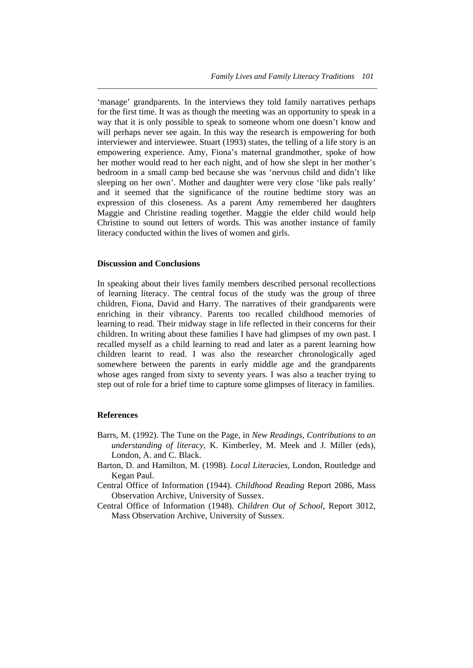'manage' grandparents. In the interviews they told family narratives perhaps for the first time. It was as though the meeting was an opportunity to speak in a way that it is only possible to speak to someone whom one doesn't know and will perhaps never see again. In this way the research is empowering for both interviewer and interviewee. Stuart (1993) states, the telling of a life story is an empowering experience. Amy, Fiona's maternal grandmother, spoke of how her mother would read to her each night, and of how she slept in her mother's bedroom in a small camp bed because she was 'nervous child and didn't like sleeping on her own'. Mother and daughter were very close 'like pals really' and it seemed that the significance of the routine bedtime story was an expression of this closeness. As a parent Amy remembered her daughters Maggie and Christine reading together. Maggie the elder child would help Christine to sound out letters of words. This was another instance of family literacy conducted within the lives of women and girls.

*\_\_\_\_\_\_\_\_\_\_\_\_\_\_\_\_\_\_\_\_\_\_\_\_\_\_\_\_\_\_\_\_\_\_\_\_\_\_\_\_\_\_\_\_\_\_\_\_\_\_\_\_\_\_\_\_\_\_\_\_\_\_\_\_\_\_\_\_\_\_* 

#### **Discussion and Conclusions**

In speaking about their lives family members described personal recollections of learning literacy. The central focus of the study was the group of three children, Fiona, David and Harry. The narratives of their grandparents were enriching in their vibrancy. Parents too recalled childhood memories of learning to read. Their midway stage in life reflected in their concerns for their children. In writing about these families I have had glimpses of my own past. I recalled myself as a child learning to read and later as a parent learning how children learnt to read. I was also the researcher chronologically aged somewhere between the parents in early middle age and the grandparents whose ages ranged from sixty to seventy years. I was also a teacher trying to step out of role for a brief time to capture some glimpses of literacy in families.

#### **References**

- Barrs, M. (1992). The Tune on the Page, in *New Readings, Contributions to an understanding of literacy,* K. Kimberley, M. Meek and J. Miller (eds), London, A. and C. Black.
- Barton, D. and Hamilton, M. (1998). *Local Literacies*, London, Routledge and Kegan Paul.
- Central Office of Information (1944). *Childhood Reading* Report 2086, Mass Observation Archive, University of Sussex.
- Central Office of Information (1948). *Children Out of School*, Report 3012, Mass Observation Archive, University of Sussex.